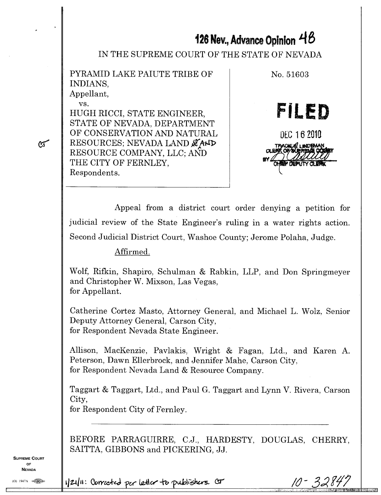# **126 Nev., Advance Opinion 14 8**

IN THE SUPREME COURT OF THE STATE OF NEVADA

PYRAMID LAKE PAIUTE TRIBE OF INDIANS, Appellant,

vs.

 $\sigma$ 

HUGH RICCI, STATE ENGINEER, STATE OF NEVADA, DEPARTMENT OF CONSERVATION AND NATURAL RESOURCES; NEVADA LAND & AND RESOURCE COMPANY, LLC; AND THE CITY OF FERNLEY, Respondents.



10 -

3284

Appeal from a district court order denying a petition for judicial review of the State Engineer's ruling in a water rights action. Second Judicial District Court, Washoe County; Jerome Polaha, Judge.

Affirmed.

Wolf, Rifkin, Shapiro, Schulman & Rabkin, LLP, and Don Springmeyer and Christopher W. Mixson, Las Vegas, for Appellant.

Catherine Cortez Masto, Attorney General, and Michael L. Wolz, Senior Deputy Attorney General, Carson City, for Respondent Nevada State Engineer.

Allison, MacKenzie, Pavlakis, Wright & Fagan, Ltd., and Karen A. Peterson, Dawn Ellerbrock, and Jennifer Mahe, Carson City, for Respondent Nevada Land & Resource Company.

Taggart & Taggart, Ltd., and Paul G. Taggart and Lynn V. Rivera, Carson City,

for Respondent City of Fernley.

BEFORE PARRAGUIRRE, C.J., HARDESTY, DOUGLAS, CHERRY, SAITTA, GIBBONS and PICKERING, JJ.

**SUPREME COURT** OF **NEVADA** 

 $(0)$  1947A  $\circ$ 

*i*/21/11: Convected per letter to publishers. Cor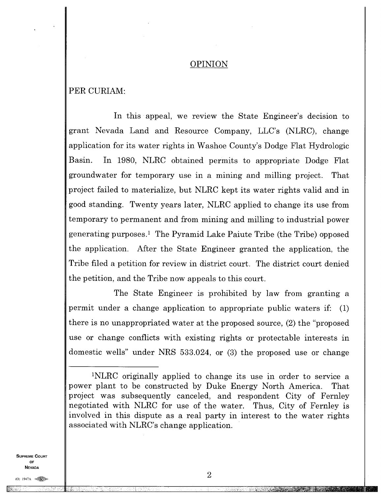#### OPINION

## PER CURIAM:

In this appeal, we review the State Engineer's decision to grant Nevada Land and Resource Company, LLC's (NLRC), change application for its water rights in Washoe County's Dodge Flat Hydrologic Basin. In 1980, NLRC obtained permits to appropriate Dodge Flat groundwater for temporary use in a mining and milling project. That project failed to materialize, but NLRC kept its water rights valid and in good standing. Twenty years later, NLRC applied to change its use from temporary to permanent and from mining and milling to industrial power generating purposes.' The Pyramid Lake Paiute Tribe (the Tribe) opposed the application. After the State Engineer granted the application, the Tribe filed a petition for review in district court. The district court denied the petition, and the Tribe now appeals to this court.

The State Engineer is prohibited by law from granting a permit under a change application to appropriate public waters if: (1) there is no unappropriated water at the proposed source, (2) the "proposed use or change conflicts with existing rights or protectable interests in domestic wells" under NRS 533.024, or (3) the proposed use or change

**SUPREME COURT** OF **NEVADA** 

 $(0)$  1947A

<sup>&</sup>quot;NLRC originally applied to change its use in order to service a power plant to be constructed by Duke Energy North America. That project was subsequently canceled, and respondent City of Fernley negotiated with NLRC for use of the water. Thus, City of Fernley is involved in this dispute as a real party in interest to the water rights associated with NLRC's change application.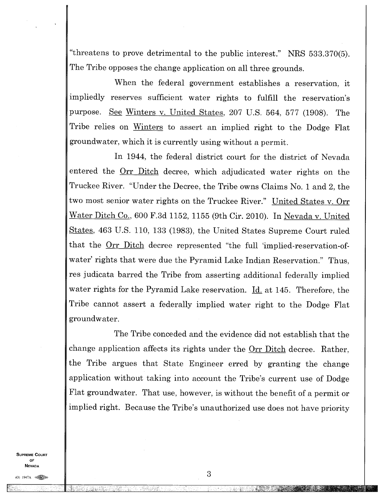"threatens to prove detrimental to the public interest." NRS 533.370(5). The Tribe opposes the change application on all three grounds.

When the federal government establishes a reservation, it impliedly reserves sufficient water rights to fulfill the reservation's purpose. See Winters v. United States, 207 U.S. 564, 577 (1908). The Tribe relies on Winters to assert an implied right to the Dodge Flat groundwater, which it is currently using without a permit.

In 1944, the federal district court for the district of Nevada entered the Orr Ditch decree, which adjudicated water rights on the Truckee River. "Under the Decree, the Tribe owns Claims No. 1 and 2, the two most senior water rights on the Truckee River." United States v. Orr Water Ditch Co., 600 F.3d 1152, 1155 (9th Cir. 2010). In Nevada v. United States, 463 U.S. 110, 133 (1983), the United States Supreme Court ruled that the  $Orr Dict decre decre decre decre decre et the full 'implied-reservation-of-$ </u> water' rights that were due the Pyramid Lake Indian Reservation." Thus, res judicata barred the Tribe from asserting additional federally implied water rights for the Pyramid Lake reservation. Id. at 145. Therefore, the Tribe cannot assert a federally implied water right to the Dodge Flat groundwater.

The Tribe conceded and the evidence did not establish that the change application affects its rights under the Orr Ditch decree. Rather, the Tribe argues that State Engineer erred by granting the change application without taking into account the Tribe's current use of Dodge Flat groundwater. That use, however, is without the benefit of a permit or implied right. Because the Tribe's unauthorized use does not have priority

**SUPREME COURT**  $\sim$ **NEVADA** 

 $(0)$  1947A  $\triangleleft$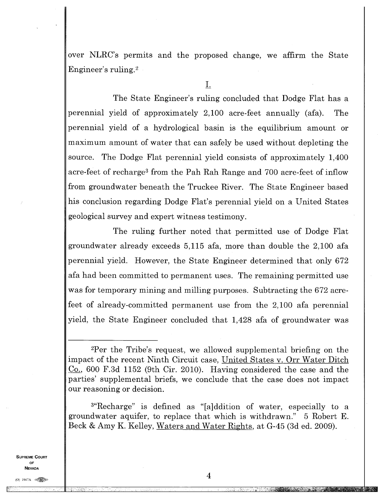over NLRC's permits and the proposed change, we affirm the State Engineer's ruling. <sup>2</sup>

The State Engineer's ruling concluded that Dodge Flat has a perennial yield of approximately 2,100 acre-feet annually (afa). The perennial yield of a hydrological basin is the equilibrium amount or maximum amount of water that can safely be used without depleting the source. The Dodge Flat perennial yield consists of approximately 1,400 acre-feet of recharge<sup>3</sup> from the Pah Rah Range and 700 acre-feet of inflow from groundwater beneath the Truckee River. The State Engineer based his conclusion regarding Dodge Flat's perennial yield on a United States geological survey and expert witness testimony.

The ruling further noted that permitted use of Dodge Flat groundwater already exceeds 5,115 afa, more than double the 2,100 afa perennial yield. However, the State Engineer determined that only 672 afa had been committed to permanent uses. The remaining permitted use was for temporary mining and milling purposes. Subtracting the 672 acrefeet of already-committed permanent use from the 2,100 afa perennial yield, the State Engineer concluded that 1,428 afa of groundwater was

<sup>2</sup>Per the Tribe's request, we allowed supplemental briefing on the impact of the recent Ninth Circuit case, United States v. Orr Water Ditch Co., 600 F.3d 1152 (9th Cir. 2010). Having considered the case and the parties' supplemental briefs, we conclude that the case does not impact our reasoning or decision.

<sup>3</sup>"Recharge" is defined as "[a]ddition of water, especially to a groundwater aquifer, to replace that which is withdrawn." 5 Robert E. Beck & Amy K. Kelley, Waters and Water Rights, at G-45 (3d ed. 2009).

**SUPREME COURT** OF **NEVADA** 

AUSEIMEIMil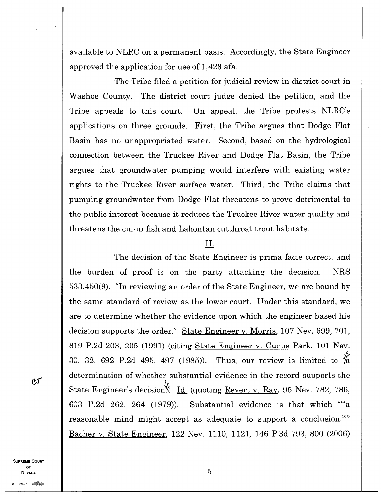available to NLRC on a permanent basis. Accordingly, the State Engineer approved the application for use of 1,428 afa.

The Tribe filed a petition for judicial review in district court in Washoe County. The district court judge denied the petition, and the Tribe appeals to this court. On appeal, the Tribe protests NLRC's applications on three grounds. First, the Tribe argues that Dodge Flat Basin has no unappropriated water. Second, based on the hydrological connection between the Truckee River and Dodge Flat Basin, the Tribe argues that groundwater pumping would interfere with existing water rights to the Truckee River surface water. Third, the Tribe claims that pumping groundwater from Dodge Flat threatens to prove detrimental to the public interest because it reduces the Truckee River water quality and threatens the cui-ui fish and Lahontan cutthroat trout habitats.

#### П.

The decision of the State Engineer is prima facie correct, and the burden of proof is on the party attacking the decision. NRS 533.450(9). "In reviewing an order of the State Engineer, we are bound by the same standard of review as the lower court. Under this standard, we are to determine whether the evidence upon which the engineer based his decision supports the order." State Engineer v. Morris, 107 Nev. 699, 701, 819 P.2d 203, 205 (1991) (citing State Engineer v. Curtis Park, 101 Nev. 30, 32, 692 P.2d 495, 497 (1985)). Thus, our review is limited to  $\frac{1}{4}$ determination of whether substantial evidence in the record supports the State Engineer's decision<sup>Y</sup>, Id. (quoting Revert v. Ray, 95 Nev. 782, 786, 603 P.2d 262, 264 (1979)). Substantial evidence is that which ""a reasonable mind might accept as adequate to support a conclusion."" Bacher v. State Engineer, 122 Nev. 1110, 1121, 146 P.3d 793, 800 (2006)

ለፓ

**SUPREME COURT** OF **NEVADA**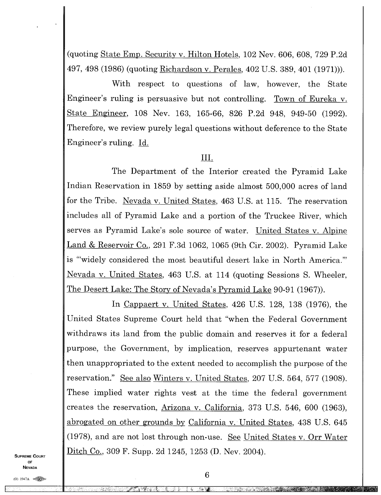(quoting State Emp. Security v. Hilton Hotels, 102 Nev. 606, 608, 729 P.2d 497, 498 (1986) (quoting Richardson v. Perales, 402 U.S. 389, 401 (1971))).

With respect to questions of law, however, the State Engineer's ruling is persuasive but not controlling. Town of Eureka v. State Engineer, 108 Nev. 163, 165-66, 826 P.2d 948, 949-50 (1992). Therefore, we review purely legal questions without deference to the State Engineer's ruling. Id.

## Ш.

The Department of the Interior created the Pyramid Lake Indian Reservation in 1859 by setting aside almost 500,000 acres of land for the Tribe. Nevada v. United States, 463 U.S. at 115. The reservation includes all of Pyramid Lake and a portion of the Truckee River, which serves as Pyramid Lake's sole source of water. United States v. Alpine Land & Reservoir Co., 291 F.3d 1062, 1065 (9th Cir. 2002). Pyramid Lake is "'widely considered the most beautiful desert lake in North America." Nevada v. United States, 463 U.S. at 114 (quoting Sessions S. Wheeler, The Desert Lake: The Story of Nevada's Pyramid Lake 90-91 (1967)).

In Cappaert v. United States, 426 U.S. 128, 138 (1976), the United States Supreme Court held that "when the Federal Government withdraws its land from the public domain and reserves it for a federal purpose, the Government, by implication, reserves appurtenant water then unappropriated to the extent needed to accomplish the purpose of the reservation." See also Winters v. United States, 207 U.S. 564, 577 (1908). These implied water rights vest at the time the federal government creates the reservation, Arizona v. California, 373 U.S. 546, 600 (1963), abrogated on other grounds by California v. United States, 438 U.S. 645 (1978), and are not lost through non-use. See United States v. Orr Water Ditch Co., 309 F. Supp. 2d 1245, 1253 (D. Nev. 2004).

**SUPREME COURT OF NEVADA** 

(0) 1947A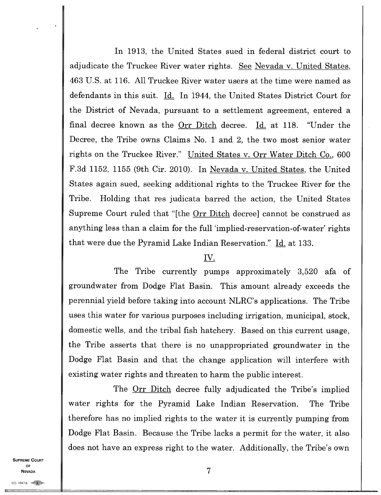In 1913, the United States sued in federal district court to adjudicate the Truckee River water rights. See Nevada v. United States, 463 U.S. at 116. All Truckee River water users at the time were named as defendants in this suit. Id. In 1944, the United States District Court for the District of Nevada, pursuant to a settlement agreement, entered a final decree known as the Orr Ditch decree. Id. at 118. "Under the Decree, the Tribe owns Claims No. 1 and 2, the two most senior water rights on the Truckee River." United States v. Orr Water Ditch Co., 600 F.3d 1152, 1155 (9th Cir. 2010). In Nevada v. United States, the United States again sued, seeking additional rights to the Truckee River for the Tribe. Holding that res judicata barred the action, the United States Supreme Court ruled that "[the Orr Ditch decree] cannot be construed as anything less than a claim for the full 'implied-reservation-of-water' rights that were due the Pyramid Lake Indian Reservation." Id. at 133.

# IV.

The Tribe currently pumps approximately 3,520 afa of groundwater from Dodge Flat Basin. This amount already exceeds the perennial yield before taking into account NLRC's applications. The Tribe uses this water for various purposes including irrigation, municipal, stock, domestic wells, and the tribal fish hatchery. Based on this current usage, the Tribe asserts that there is no unappropriated groundwater in the Dodge Flat Basin and that the change application will interfere with existing water rights and threaten to harm the public interest.

The <u>Orr Ditch</u> decree fully adjudicated the Tribe's implied water rights for the Pyramid Lake Indian Reservation. The Tribe therefore has no implied rights to the water it is currently pumping from Dodge Flat Basin. Because the Tribe lacks a permit for the water, it also does not have an express right to the water. Additionally, the Tribe's own

**SUPREME COURT** OF **NEVADA**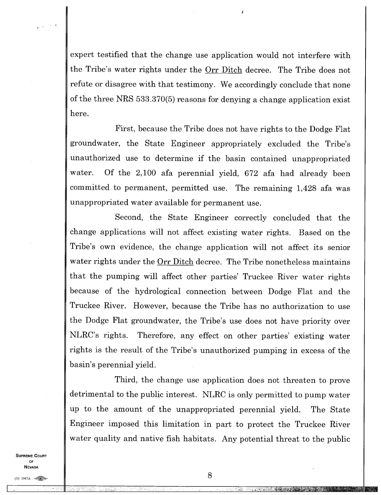expert testified that the change use application would not interfere with the Tribe's water rights under the <u>Orr Ditch</u> decree. The Tribe does not refute or disagree with that testimony. We accordingly conclude that none of the three NRS 533.370(5) reasons for denying a change application exist here.

First, because the Tribe does not have rights to the Dodge Flat groundwater, the State Engineer appropriately excluded the Tribe's unauthorized use to determine if the basin contained unappropriated water. Of the 2,100 afa perennial yield, 672 afa had already been committed to permanent, permitted use. The remaining 1,428 afa was unappropriated water available for permanent use.

Second, the State Engineer correctly concluded that the change applications will not affect existing water rights. Based on the Tribe's own evidence, the change application will not affect its senior water rights under the Orr Ditch decree. The Tribe nonetheless maintains that the pumping will affect other parties' Truckee River water rights because of the hydrological connection between Dodge Flat and the Truckee River. However, because the Tribe has no authorization to use the Dodge Flat groundwater, the Tribe's use does not have priority over NLRC's rights. Therefore, any effect on other parties' existing water rights is the result of the Tribe's unauthorized pumping in excess of the basin's perennial yield.

Third, the change use application does not threaten to prove detrimental to the public interest. NLRC is only permitted to pump water up to the amount of the unappropriated perennial yield. The State Engineer imposed this limitation in part to protect the Truckee River water quality and native fish habitats. Any potential threat to the public

**SUPREME COURT OF NEVADA**